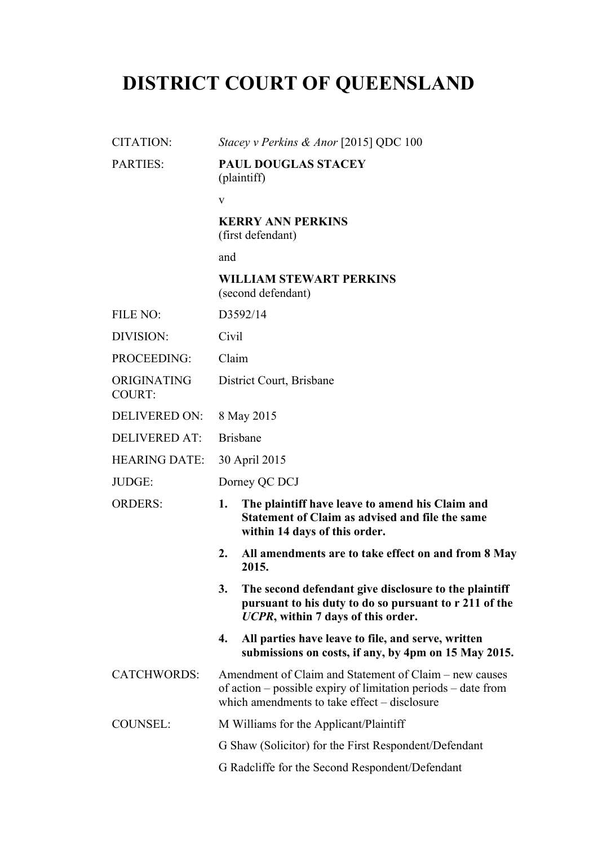# **DISTRICT COURT OF QUEENSLAND**

| CITATION:                    | Stacey v Perkins & Anor [2015] QDC 100                                                                                                                                  |
|------------------------------|-------------------------------------------------------------------------------------------------------------------------------------------------------------------------|
| <b>PARTIES:</b>              | <b>PAUL DOUGLAS STACEY</b><br>(plaintiff)                                                                                                                               |
|                              | $\mathbf{V}$                                                                                                                                                            |
|                              | <b>KERRY ANN PERKINS</b><br>(first defendant)                                                                                                                           |
|                              | and                                                                                                                                                                     |
|                              | <b>WILLIAM STEWART PERKINS</b><br>(second defendant)                                                                                                                    |
| FILE NO:                     | D3592/14                                                                                                                                                                |
| DIVISION:                    | Civil                                                                                                                                                                   |
| PROCEEDING:                  | Claim                                                                                                                                                                   |
| ORIGINATING<br><b>COURT:</b> | District Court, Brisbane                                                                                                                                                |
| <b>DELIVERED ON:</b>         | 8 May 2015                                                                                                                                                              |
| <b>DELIVERED AT:</b>         | <b>Brisbane</b>                                                                                                                                                         |
| <b>HEARING DATE:</b>         | 30 April 2015                                                                                                                                                           |
| JUDGE:                       | Dorney QC DCJ                                                                                                                                                           |
| <b>ORDERS:</b>               | The plaintiff have leave to amend his Claim and<br>1.<br>Statement of Claim as advised and file the same<br>within 14 days of this order.                               |
|                              | 2.<br>All amendments are to take effect on and from 8 May<br>2015.                                                                                                      |
|                              | 3.<br>The second defendant give disclosure to the plaintiff<br>pursuant to his duty to do so pursuant to r 211 of the<br>UCPR, within 7 days of this order.             |
|                              | All parties have leave to file, and serve, written<br>4.<br>submissions on costs, if any, by 4pm on 15 May 2015.                                                        |
| <b>CATCHWORDS:</b>           | Amendment of Claim and Statement of Claim – new causes<br>of action – possible expiry of limitation periods – date from<br>which amendments to take effect – disclosure |
| <b>COUNSEL:</b>              | M Williams for the Applicant/Plaintiff                                                                                                                                  |
|                              | G Shaw (Solicitor) for the First Respondent/Defendant                                                                                                                   |
|                              | G Radcliffe for the Second Respondent/Defendant                                                                                                                         |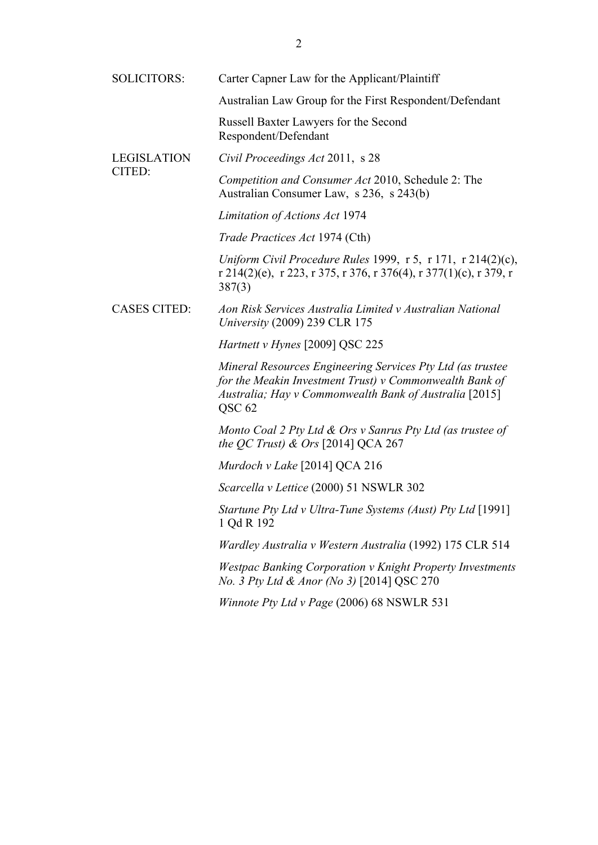| <b>SOLICITORS:</b>           | Carter Capner Law for the Applicant/Plaintiff                                                                                                                                                          |
|------------------------------|--------------------------------------------------------------------------------------------------------------------------------------------------------------------------------------------------------|
|                              | Australian Law Group for the First Respondent/Defendant                                                                                                                                                |
|                              | Russell Baxter Lawyers for the Second<br>Respondent/Defendant                                                                                                                                          |
| <b>LEGISLATION</b><br>CITED: | Civil Proceedings Act 2011, s 28                                                                                                                                                                       |
|                              | Competition and Consumer Act 2010, Schedule 2: The<br>Australian Consumer Law, s 236, s 243(b)                                                                                                         |
|                              | Limitation of Actions Act 1974                                                                                                                                                                         |
|                              | <i>Trade Practices Act 1974 (Cth)</i>                                                                                                                                                                  |
|                              | Uniform Civil Procedure Rules 1999, $r$ 5, $r$ 171, $r$ 214(2)(c),<br>r 214(2)(e), r 223, r 375, r 376, r 376(4), r 377(1)(c), r 379, r<br>387(3)                                                      |
| <b>CASES CITED:</b>          | Aon Risk Services Australia Limited v Australian National<br>University (2009) 239 CLR 175                                                                                                             |
|                              | Hartnett v Hynes [2009] QSC 225                                                                                                                                                                        |
|                              | Mineral Resources Engineering Services Pty Ltd (as trustee<br>for the Meakin Investment Trust) $v$ Commonwealth Bank of<br>Australia; Hay v Commonwealth Bank of Australia [2015]<br>QSC <sub>62</sub> |
|                              | Monto Coal 2 Pty Ltd & Ors v Sanrus Pty Ltd (as trustee of<br>the QC Trust) $\&$ Ors [2014] QCA 267                                                                                                    |
|                              | Murdoch v Lake $[2014]$ QCA 216                                                                                                                                                                        |
|                              | Scarcella v Lettice (2000) 51 NSWLR 302                                                                                                                                                                |
|                              | Startune Pty Ltd v Ultra-Tune Systems (Aust) Pty Ltd [1991]<br>1 Qd R 192                                                                                                                              |
|                              | Wardley Australia v Western Australia (1992) 175 CLR 514                                                                                                                                               |
|                              | <b>Westpac Banking Corporation v Knight Property Investments</b><br>No. 3 Pty Ltd & Anor (No 3) [2014] QSC 270                                                                                         |
|                              | Winnote Pty Ltd v Page (2006) 68 NSWLR 531                                                                                                                                                             |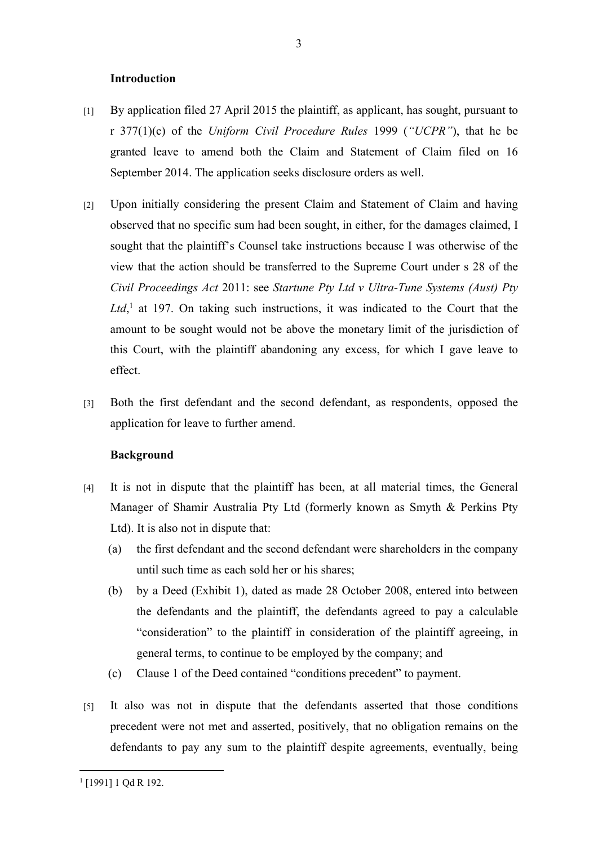### **Introduction**

- [1] By application filed 27 April 2015 the plaintiff, as applicant, has sought, pursuant to r 377(1)(c) of the *Uniform Civil Procedure Rules* 1999 (*"UCPR"*), that he be granted leave to amend both the Claim and Statement of Claim filed on 16 September 2014. The application seeks disclosure orders as well.
- [2] Upon initially considering the present Claim and Statement of Claim and having observed that no specific sum had been sought, in either, for the damages claimed, I sought that the plaintiff's Counsel take instructions because I was otherwise of the view that the action should be transferred to the Supreme Court under s 28 of the *Civil Proceedings Act* 2011: see *Startune Pty Ltd v Ultra-Tune Systems (Aust) Pty*  Ltd,<sup>1</sup> at 197. On taking such instructions, it was indicated to the Court that the amount to be sought would not be above the monetary limit of the jurisdiction of this Court, with the plaintiff abandoning any excess, for which I gave leave to effect.
- [3] Both the first defendant and the second defendant, as respondents, opposed the application for leave to further amend.

# **Background**

- [4] It is not in dispute that the plaintiff has been, at all material times, the General Manager of Shamir Australia Pty Ltd (formerly known as Smyth & Perkins Pty Ltd). It is also not in dispute that:
	- (a) the first defendant and the second defendant were shareholders in the company until such time as each sold her or his shares;
	- (b) by a Deed (Exhibit 1), dated as made 28 October 2008, entered into between the defendants and the plaintiff, the defendants agreed to pay a calculable "consideration" to the plaintiff in consideration of the plaintiff agreeing, in general terms, to continue to be employed by the company; and
	- (c) Clause 1 of the Deed contained "conditions precedent" to payment.
- [5] It also was not in dispute that the defendants asserted that those conditions precedent were not met and asserted, positively, that no obligation remains on the defendants to pay any sum to the plaintiff despite agreements, eventually, being

<sup>1</sup> [1991] 1 Qd R 192.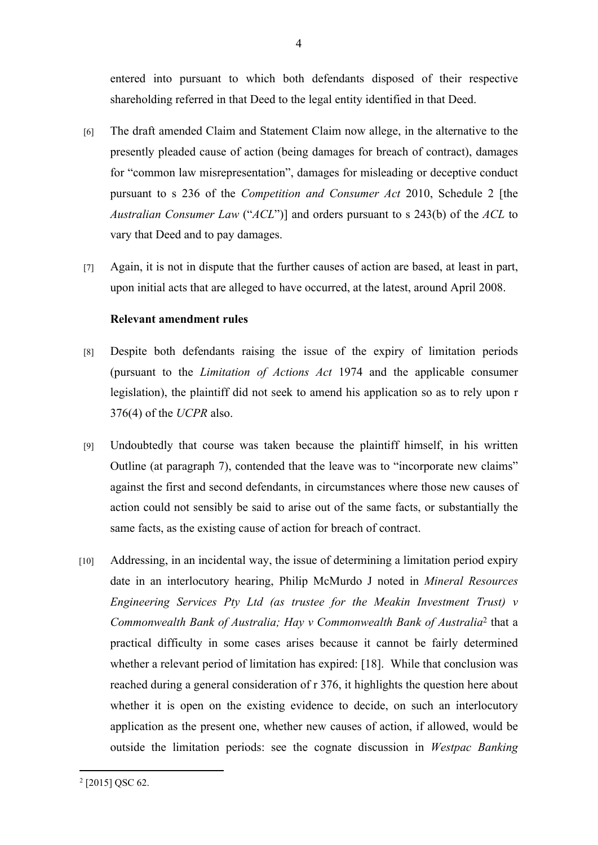entered into pursuant to which both defendants disposed of their respective shareholding referred in that Deed to the legal entity identified in that Deed.

- [6] The draft amended Claim and Statement Claim now allege, in the alternative to the presently pleaded cause of action (being damages for breach of contract), damages for "common law misrepresentation", damages for misleading or deceptive conduct pursuant to s 236 of the *Competition and Consumer Act* 2010, Schedule 2 [the *Australian Consumer Law* ("*ACL*")] and orders pursuant to s 243(b) of the *ACL* to vary that Deed and to pay damages.
- [7] Again, it is not in dispute that the further causes of action are based, at least in part, upon initial acts that are alleged to have occurred, at the latest, around April 2008.

# **Relevant amendment rules**

- [8] Despite both defendants raising the issue of the expiry of limitation periods (pursuant to the *Limitation of Actions Act* 1974 and the applicable consumer legislation), the plaintiff did not seek to amend his application so as to rely upon r 376(4) of the *UCPR* also.
- [9] Undoubtedly that course was taken because the plaintiff himself, in his written Outline (at paragraph 7), contended that the leave was to "incorporate new claims" against the first and second defendants, in circumstances where those new causes of action could not sensibly be said to arise out of the same facts, or substantially the same facts, as the existing cause of action for breach of contract.
- [10] Addressing, in an incidental way, the issue of determining a limitation period expiry date in an interlocutory hearing, Philip McMurdo J noted in *Mineral Resources Engineering Services Pty Ltd (as trustee for the Meakin Investment Trust) v Commonwealth Bank of Australia; Hay v Commonwealth Bank of Australia*<sup>2</sup> that a practical difficulty in some cases arises because it cannot be fairly determined whether a relevant period of limitation has expired: [18]. While that conclusion was reached during a general consideration of r 376, it highlights the question here about whether it is open on the existing evidence to decide, on such an interlocutory application as the present one, whether new causes of action, if allowed, would be outside the limitation periods: see the cognate discussion in *Westpac Banking*

<sup>2</sup> [2015] QSC 62.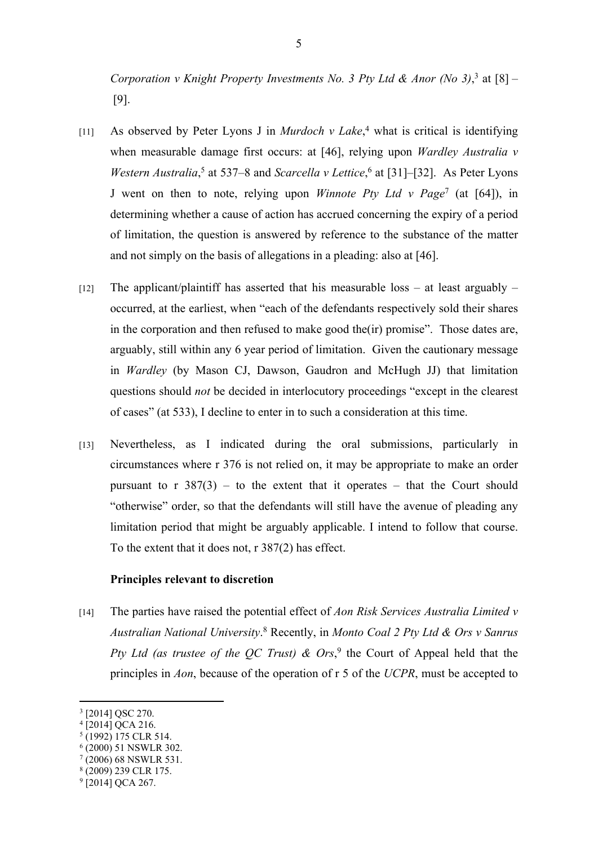Corporation v Knight Property Investments No. 3 Pty Ltd & Anor (No 3),<sup>3</sup> at  $[8]$  – [9].

- [11] As observed by Peter Lyons J in *Murdoch v Lake*,<sup>4</sup> what is critical is identifying when measurable damage first occurs: at [46], relying upon *Wardley Australia v Western Australia*,<sup>5</sup> at 537–8 and *Scarcella v Lettice*,<sup>6</sup> at [31]–[32]. As Peter Lyons J went on then to note, relying upon *Winnote Pty Ltd v Page*<sup>7</sup> (at [64]), in determining whether a cause of action has accrued concerning the expiry of a period of limitation, the question is answered by reference to the substance of the matter and not simply on the basis of allegations in a pleading: also at [46].
- [12] The applicant/plaintiff has asserted that his measurable loss at least arguably occurred, at the earliest, when "each of the defendants respectively sold their shares in the corporation and then refused to make good the(ir) promise". Those dates are, arguably, still within any 6 year period of limitation. Given the cautionary message in *Wardley* (by Mason CJ, Dawson, Gaudron and McHugh JJ) that limitation questions should *not* be decided in interlocutory proceedings "except in the clearest of cases" (at 533), I decline to enter in to such a consideration at this time.
- [13] Nevertheless, as I indicated during the oral submissions, particularly in circumstances where r 376 is not relied on, it may be appropriate to make an order pursuant to r  $387(3)$  – to the extent that it operates – that the Court should "otherwise" order, so that the defendants will still have the avenue of pleading any limitation period that might be arguably applicable. I intend to follow that course. To the extent that it does not, r 387(2) has effect.

# **Principles relevant to discretion**

[14] The parties have raised the potential effect of *Aon Risk Services Australia Limited v Australian National University*. 8 Recently, in *Monto Coal 2 Pty Ltd & Ors v Sanrus*  Pty Ltd (as trustee of the QC Trust)  $\&$  Ors,<sup>9</sup> the Court of Appeal held that the principles in *Aon*, because of the operation of r 5 of the *UCPR*, must be accepted to

<sup>3</sup> [2014] QSC 270.

<sup>4</sup> [2014] QCA 216.

<sup>5</sup> (1992) 175 CLR 514.

<sup>6</sup> (2000) 51 NSWLR 302.

<sup>7</sup> (2006) 68 NSWLR 531.

<sup>8</sup> (2009) 239 CLR 175.

<sup>&</sup>lt;sup>9</sup> [2014] QCA 267.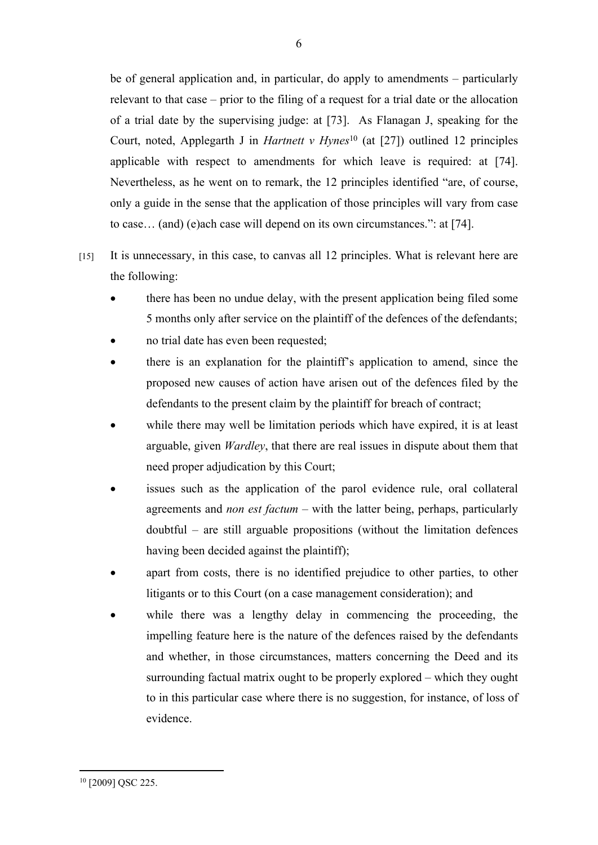be of general application and, in particular, do apply to amendments – particularly relevant to that case – prior to the filing of a request for a trial date or the allocation of a trial date by the supervising judge: at [73]. As Flanagan J, speaking for the Court, noted, Applegarth J in *Hartnett v Hynes*<sup>10</sup> (at [27]) outlined 12 principles applicable with respect to amendments for which leave is required: at [74]. Nevertheless, as he went on to remark, the 12 principles identified "are, of course, only a guide in the sense that the application of those principles will vary from case to case… (and) (e)ach case will depend on its own circumstances.": at [74].

- [15] It is unnecessary, in this case, to canvas all 12 principles. What is relevant here are the following:
	- there has been no undue delay, with the present application being filed some 5 months only after service on the plaintiff of the defences of the defendants;
	- no trial date has even been requested;
	- there is an explanation for the plaintiff's application to amend, since the proposed new causes of action have arisen out of the defences filed by the defendants to the present claim by the plaintiff for breach of contract;
	- while there may well be limitation periods which have expired, it is at least arguable, given *Wardley*, that there are real issues in dispute about them that need proper adjudication by this Court;
	- issues such as the application of the parol evidence rule, oral collateral agreements and *non est factum* – with the latter being, perhaps, particularly doubtful – are still arguable propositions (without the limitation defences having been decided against the plaintiff);
	- apart from costs, there is no identified prejudice to other parties, to other litigants or to this Court (on a case management consideration); and
	- while there was a lengthy delay in commencing the proceeding, the impelling feature here is the nature of the defences raised by the defendants and whether, in those circumstances, matters concerning the Deed and its surrounding factual matrix ought to be properly explored – which they ought to in this particular case where there is no suggestion, for instance, of loss of evidence.

<sup>10</sup> [2009] QSC 225.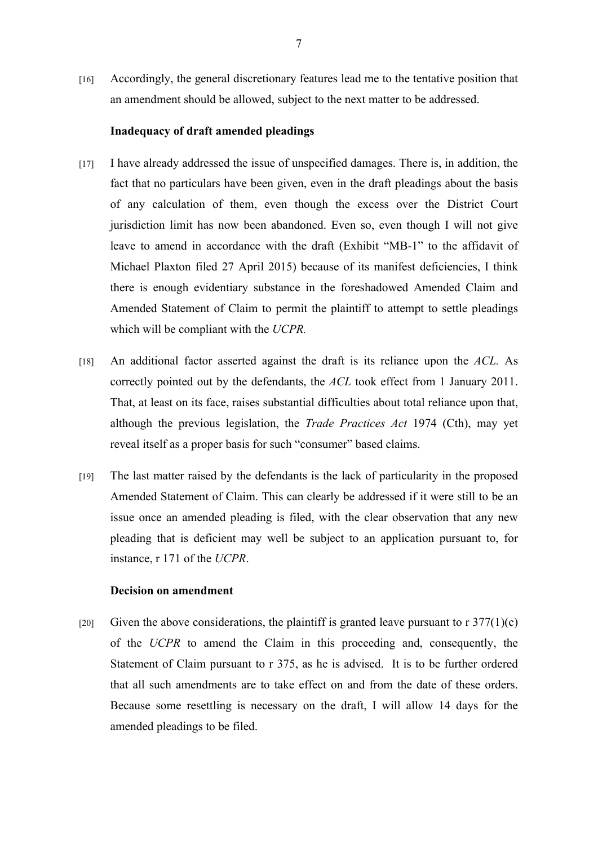[16] Accordingly, the general discretionary features lead me to the tentative position that an amendment should be allowed, subject to the next matter to be addressed.

### **Inadequacy of draft amended pleadings**

- [17] I have already addressed the issue of unspecified damages. There is, in addition, the fact that no particulars have been given, even in the draft pleadings about the basis of any calculation of them, even though the excess over the District Court jurisdiction limit has now been abandoned. Even so, even though I will not give leave to amend in accordance with the draft (Exhibit "MB-1" to the affidavit of Michael Plaxton filed 27 April 2015) because of its manifest deficiencies, I think there is enough evidentiary substance in the foreshadowed Amended Claim and Amended Statement of Claim to permit the plaintiff to attempt to settle pleadings which will be compliant with the *UCPR.*
- [18] An additional factor asserted against the draft is its reliance upon the *ACL.* As correctly pointed out by the defendants, the *ACL* took effect from 1 January 2011. That, at least on its face, raises substantial difficulties about total reliance upon that, although the previous legislation, the *Trade Practices Act* 1974 (Cth), may yet reveal itself as a proper basis for such "consumer" based claims.
- [19] The last matter raised by the defendants is the lack of particularity in the proposed Amended Statement of Claim. This can clearly be addressed if it were still to be an issue once an amended pleading is filed, with the clear observation that any new pleading that is deficient may well be subject to an application pursuant to, for instance, r 171 of the *UCPR*.

# **Decision on amendment**

[20] Given the above considerations, the plaintiff is granted leave pursuant to  $r \frac{377(1)}{c}$ of the *UCPR* to amend the Claim in this proceeding and, consequently, the Statement of Claim pursuant to r 375, as he is advised. It is to be further ordered that all such amendments are to take effect on and from the date of these orders. Because some resettling is necessary on the draft, I will allow 14 days for the amended pleadings to be filed.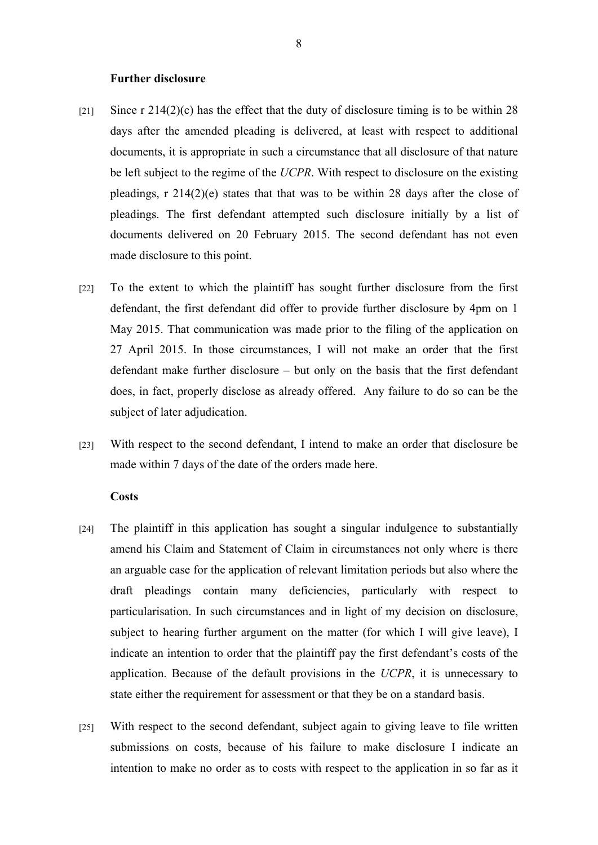#### **Further disclosure**

- [21] Since r  $214(2)(c)$  has the effect that the duty of disclosure timing is to be within 28 days after the amended pleading is delivered, at least with respect to additional documents, it is appropriate in such a circumstance that all disclosure of that nature be left subject to the regime of the *UCPR*. With respect to disclosure on the existing pleadings, r 214(2)(e) states that that was to be within 28 days after the close of pleadings. The first defendant attempted such disclosure initially by a list of documents delivered on 20 February 2015. The second defendant has not even made disclosure to this point.
- [22] To the extent to which the plaintiff has sought further disclosure from the first defendant, the first defendant did offer to provide further disclosure by 4pm on 1 May 2015. That communication was made prior to the filing of the application on 27 April 2015. In those circumstances, I will not make an order that the first defendant make further disclosure – but only on the basis that the first defendant does, in fact, properly disclose as already offered. Any failure to do so can be the subject of later adjudication.
- [23] With respect to the second defendant, I intend to make an order that disclosure be made within 7 days of the date of the orders made here.

# **Costs**

- [24] The plaintiff in this application has sought a singular indulgence to substantially amend his Claim and Statement of Claim in circumstances not only where is there an arguable case for the application of relevant limitation periods but also where the draft pleadings contain many deficiencies, particularly with respect to particularisation. In such circumstances and in light of my decision on disclosure, subject to hearing further argument on the matter (for which I will give leave), I indicate an intention to order that the plaintiff pay the first defendant's costs of the application. Because of the default provisions in the *UCPR*, it is unnecessary to state either the requirement for assessment or that they be on a standard basis.
- [25] With respect to the second defendant, subject again to giving leave to file written submissions on costs, because of his failure to make disclosure I indicate an intention to make no order as to costs with respect to the application in so far as it